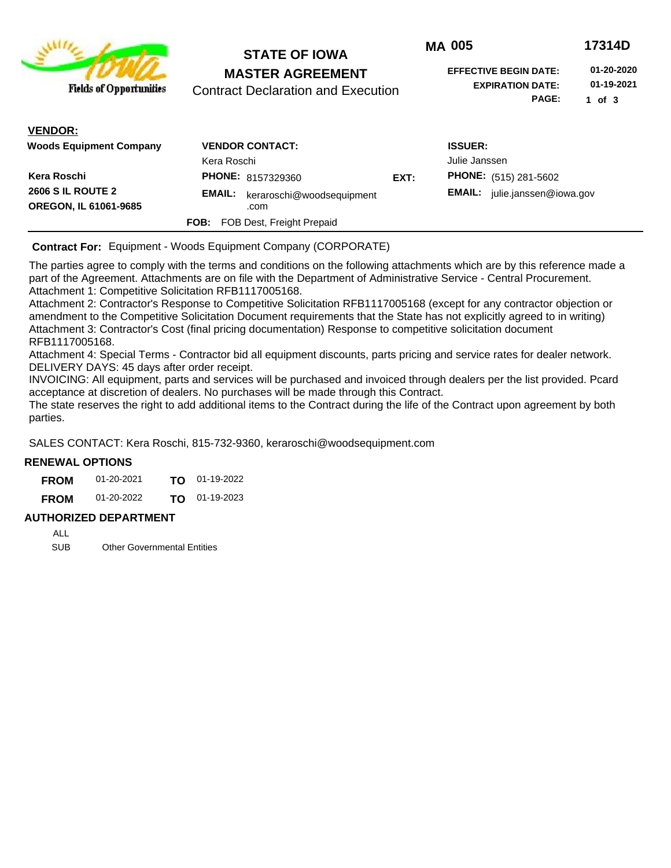|                                                          | <b>STATE OF IOWA</b><br><b>MASTER AGREEMENT</b><br><b>Contract Declaration and Execution</b> |      | <b>MA 005</b>                                                           | 17314D                               |
|----------------------------------------------------------|----------------------------------------------------------------------------------------------|------|-------------------------------------------------------------------------|--------------------------------------|
| <b>Fields of Opportunities</b>                           |                                                                                              |      | <b>EFFECTIVE BEGIN DATE:</b><br><b>EXPIRATION DATE:</b><br><b>PAGE:</b> | 01-20-2020<br>01-19-2021<br>1 of $3$ |
| <b>VENDOR:</b>                                           |                                                                                              |      |                                                                         |                                      |
| <b>Woods Equipment Company</b>                           | <b>VENDOR CONTACT:</b><br>Kera Roschi                                                        |      | <b>ISSUER:</b><br>Julie Janssen                                         |                                      |
| Kera Roschi                                              | <b>PHONE: 8157329360</b>                                                                     | EXT: | <b>PHONE:</b> (515) 281-5602                                            |                                      |
| <b>2606 S IL ROUTE 2</b><br><b>OREGON, IL 61061-9685</b> | <b>EMAIL:</b><br>keraroschi@woodsequipment<br>.com                                           |      | <b>EMAIL:</b><br>julie.janssen@iowa.gov                                 |                                      |
|                                                          | FOB Dest, Freight Prepaid<br><b>FOB:</b>                                                     |      |                                                                         |                                      |

**Contract For:** Equipment - Woods Equipment Company (CORPORATE)

The parties agree to comply with the terms and conditions on the following attachments which are by this reference made a part of the Agreement. Attachments are on file with the Department of Administrative Service - Central Procurement. Attachment 1: Competitive Solicitation RFB1117005168.

Attachment 2: Contractor's Response to Competitive Solicitation RFB1117005168 (except for any contractor objection or amendment to the Competitive Solicitation Document requirements that the State has not explicitly agreed to in writing) Attachment 3: Contractor's Cost (final pricing documentation) Response to competitive solicitation document RFB1117005168.

Attachment 4: Special Terms - Contractor bid all equipment discounts, parts pricing and service rates for dealer network. DELIVERY DAYS: 45 days after order receipt.

INVOICING: All equipment, parts and services will be purchased and invoiced through dealers per the list provided. Pcard acceptance at discretion of dealers. No purchases will be made through this Contract.

The state reserves the right to add additional items to the Contract during the life of the Contract upon agreement by both parties.

SALES CONTACT: Kera Roschi, 815-732-9360, keraroschi@woodsequipment.com

### **RENEWAL OPTIONS**

| <b>FROM</b> | 01-20-2021 | TO T | 01-19-2022      |
|-------------|------------|------|-----------------|
| <b>FROM</b> | 01-20-2022 |      | $TO$ 01-19-2023 |

### **AUTHORIZED DEPARTMENT**

ALL

SUB Other Governmental Entities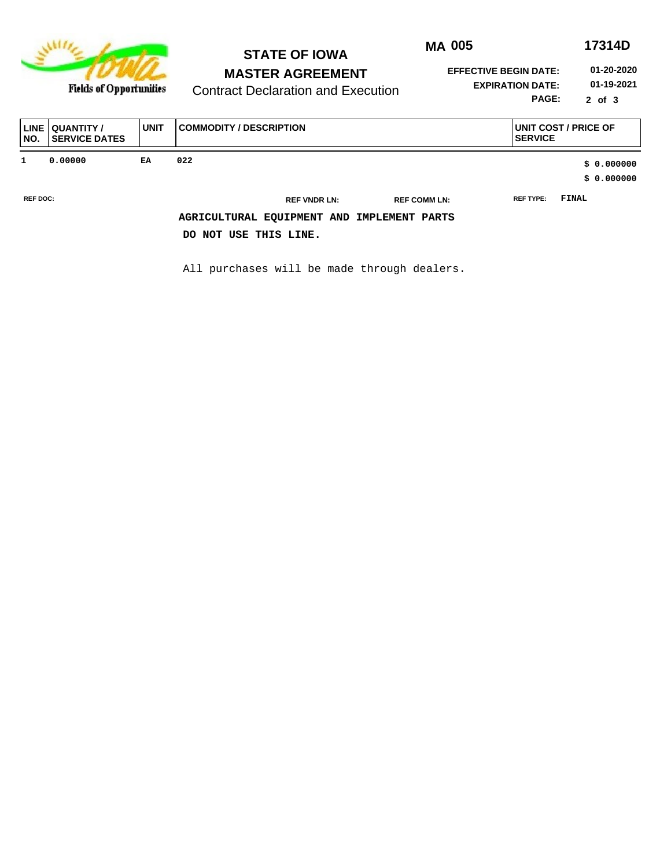

**Fields of Opportunities** 

# **STATE OF IOWA MASTER AGREEMENT**

**MA 005 17314D**

**EFFECTIVE BEGIN DATE: 01-20-2020**

Contract Declaration and Execution

**EXPIRATION DATE: 01-19-2021**

**PAGE: 2 of 3**

| LINE<br>NO.     | QUANTITY /<br><b>SERVICE DATES</b> | <b>UNIT</b> | <b>COMMODITY / DESCRIPTION</b>             | UNIT COST / PRICE OF<br><b>SERVICE</b> |
|-----------------|------------------------------------|-------------|--------------------------------------------|----------------------------------------|
| 1               | 0.00000                            | EA          | 022                                        | \$0.000000                             |
|                 |                                    |             |                                            | \$0.000000                             |
| <b>REF DOC:</b> |                                    |             | <b>REF VNDR LN:</b><br><b>REF COMM LN:</b> | FINAL<br><b>REF TYPE:</b>              |
|                 |                                    |             | AGRICULTURAL EQUIPMENT AND IMPLEMENT PARTS |                                        |
|                 |                                    |             | DO NOT USE THIS LINE.                      |                                        |

All purchases will be made through dealers.